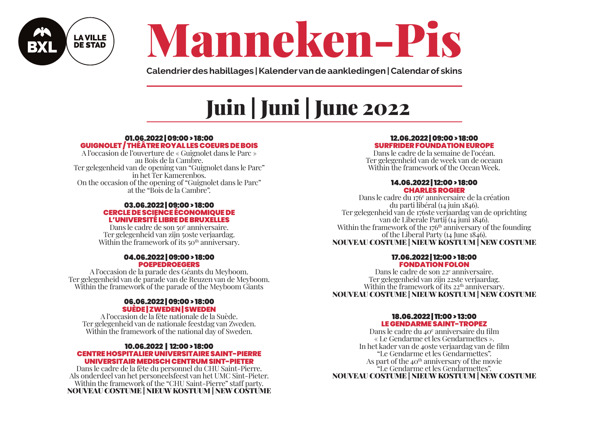# 01.06.2022 | 09:00 > 18:00 GUIGNOLET / THÉÂTRE ROYAL LES COEURS DE BOIS

A l'occasion de l'ouverture de « Guignolet dans le Parc » au Bois de la Cambre. Ter gelegenheid van de opening van "Guignolet dans le Parc" in het Ter Kamerenbos. On the occasion of the opening of "Guignolet dans le Parc" at the "Bois de la Cambre".

A l'occasion de la parade des Géants du Meyboom. Ter gelegenheid van de parade van de Reuzen van de Meyboom. Within the framework of the parade of the Meyboom Giants

# 03.06.2022 | 09:00 > 18:00 CERCLE DE SCIENCE ÉCONOMIQUE DE L'UNIVERSITÉ LIBRE DE BRUXELLES

Dans le cadre de son 50<sup>e</sup> anniversaire. Ter gelegenheid van zijn 50ste verjaardag. Within the framework of its  $50<sup>th</sup>$  anniversary.

A l'occasion de la fête nationale de la Suède. Ter gelegenheid van de nationale feestdag van Zweden. Within the framework of the national day of Sweden.

# 04.06.2022 | 09:00 > 18:00 POEPEDROEGERS

# 06.06.2022 | 09:00 > 18:00 SUÈDE | ZWEDEN | SWEDEN

Dans le cadre du 176<sup>e</sup> anniversaire de la création du parti libéral (14 juin 1846). Ter gelegenheid van de 176ste verjaardag van de oprichting van de Liberale Partij (14 juni 1846). Within the framework of the  $176<sup>th</sup>$  anniversary of the founding of the Liberal Party (14 June 1846). NOUVEAU COSTUME | NIEUW KOSTUUM | NEW COSTUME

# 10.06.2022 | 12:00 > 18:00 CENTRE HOSPITALIER UNIVERSITAIRE SAINT-PIERRE UNIVERSITAIR MEDISCH CENTRUM SINT-PIETER

Dans le cadre de son 22<sup>e</sup> anniversaire. Ter gelegenheid van zijn 22ste verjaardag. Within the framework of its 22<sup>th</sup> anniversary. NOUVEAU COSTUME | NIEUW KOSTUUM | NEW COSTUME

Dans le cadre de la fête du personnel du CHU Saint-Pierre. Als onderdeel van het personeelsfeest van het UMC Sint-Pieter. Within the framework of the "CHU Saint-Pierre" staff party. NOUVEAU COSTUME | NIEUW KOSTUUM | NEW COSTUME

Dans le cadre du 40<sup>e</sup> anniversaire du film « Le Gendarme et les Gendarmettes ». In het kader van de 40ste verjaardag van de film "Le Gendarme et les Gendarmettes". As part of the 40<sup>th</sup> anniversary of the movie "Le Gendarme et les Gendarmettes". NOUVEAU COSTUME | NIEUW KOSTUUM | NEW COSTUME



**Calendrier des habillages | Kalender van de aankledingen | Calendar of skins**

# Juin | Juni | June 2022



# Manneken-Pis

# 12.06.2022 | 09:00 > 18:00 SURFRIDER FOUNDATION EUROPE

Dans le cadre de la semaine de l'océan. Ter gelegenheid van de week van de oceaan Within the framework of the Ocean Week.

# 14.06.2022 | 12:00 > 18:00 CHARLES ROGIER

# 17.06.2022 | 12:00 > 18:00 FONDATION FOLON

# 18.06.2022 | 11:00 > 13:00 LE GENDARME SAINT-TROPEZ